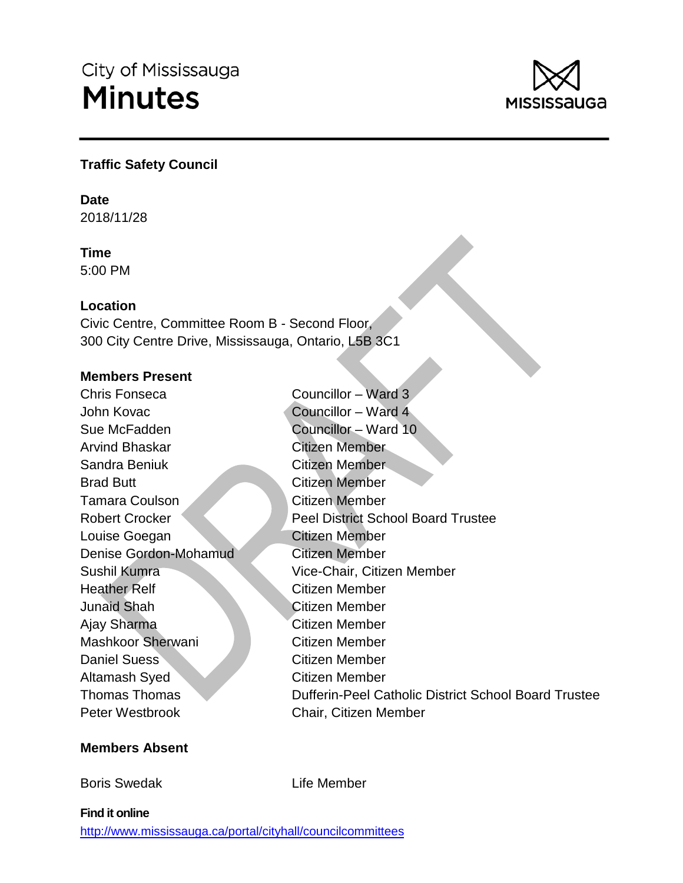

## **Traffic Safety Council**

## **Date**

2018/11/28

## **Time**

5:00 PM

## **Location**

Civic Centre, Committee Room B - Second Floor, 300 City Centre Drive, Mississauga, Ontario, L5B 3C1

## **Members Present**

Chris Fonseca John Kovac Sue McFadden Arvind Bhaskar Sandra Beniuk Councillor – Ward 3 Councillor – Ward 4 Councillor – Ward 10 Citizen Member Citizen Member Brad Butt Tamara Coulson Citizen Member Citizen Member Robert Crocker Peel District School Board Trustee Louise Goegan Citizen Member Denise Gordon-Mohamud Citizen Member Sushil Kumra Heather Relf Vice-Chair, Citizen Member Citizen Member Junaid Shah Ajay Sharma Citizen Member Citizen Member Mashkoor Sherwani Citizen Member Daniel Suess Citizen Member Altamash Syed Citizen Member Thomas Thomas Dufferin-Peel Catholic District School Board Trustee Peter Westbrook Chair, Citizen Member

## **Members Absent**

Boris Swedak

Life Member

## **Find it online**

<http://www.mississauga.ca/portal/cityhall/councilcommittees>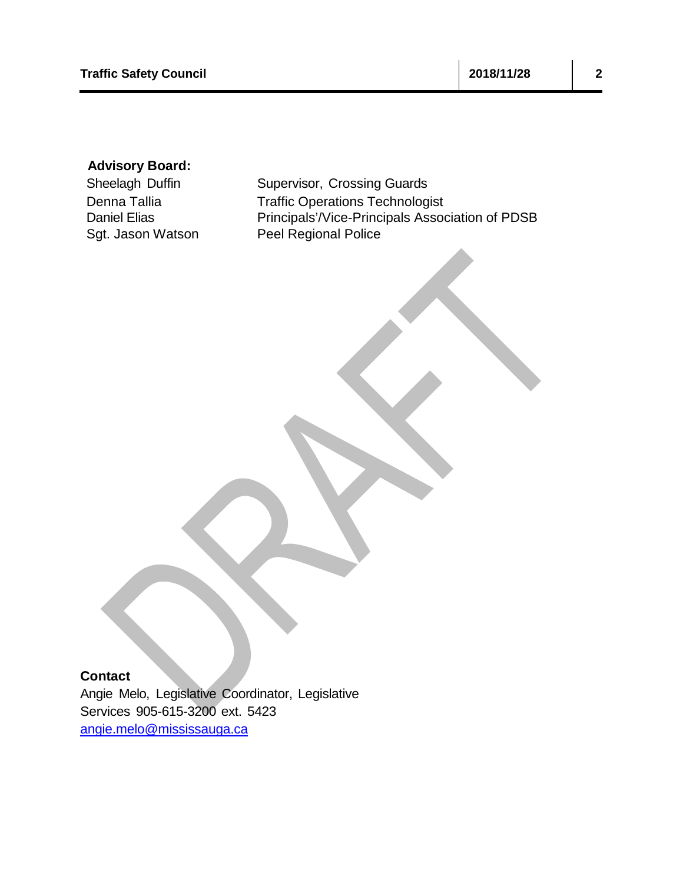## **Advisory Board:**

Sheelagh Duffin Supervisor, Crossing Guards Denna Tallia Traffic Operations Technologist Daniel Elias **Principals'/Vice-Principals Association of PDSB** Sgt. Jason Watson Peel Regional Police

## **Contact**

Angie Melo, Legislative Coordinator, Legislative Services 905-615-3200 ext. 5423 [angie.melo@mississauga.ca](mailto:angie.melo@mississauga.ca)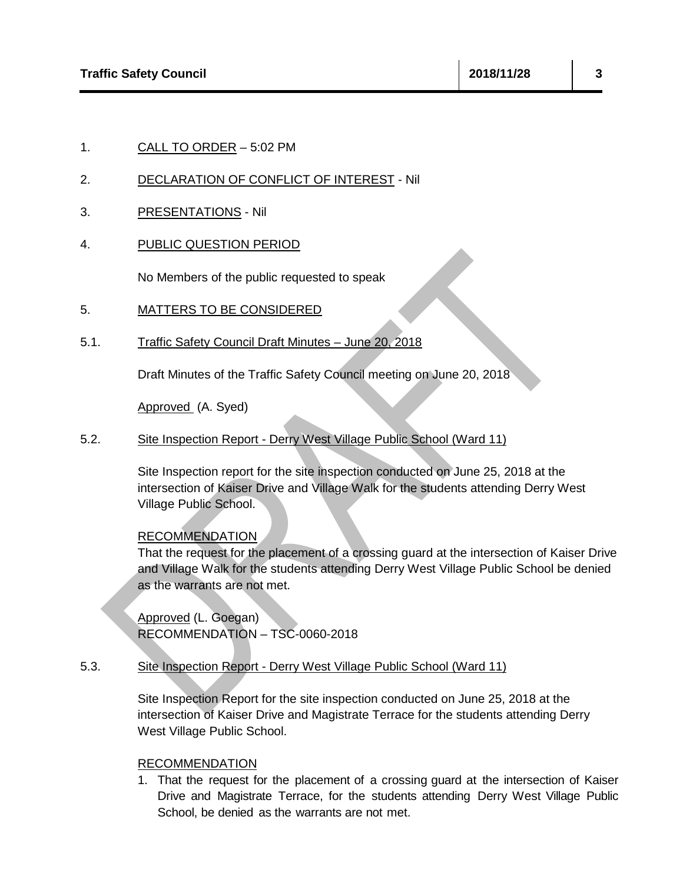1. CALL TO ORDER – 5:02 PM

## 2. DECLARATION OF CONFLICT OF INTEREST - Nil

- 3. PRESENTATIONS Nil
- 4. PUBLIC QUESTION PERIOD

No Members of the public requested to speak

- 5. MATTERS TO BE CONSIDERED
- 5.1. Traffic Safety Council Draft Minutes June 20, 2018

Draft Minutes of the Traffic Safety Council meeting on June 20, 2018

Approved (A. Syed)

5.2. Site Inspection Report - Derry West Village Public School (Ward 11)

Site Inspection report for the site inspection conducted on June 25, 2018 at the intersection of Kaiser Drive and Village Walk for the students attending Derry West Village Public School.

RECOMMENDATION

That the request for the placement of a crossing guard at the intersection of Kaiser Drive and Village Walk for the students attending Derry West Village Public School be denied as the warrants are not met.

Approved (L. Goegan) RECOMMENDATION – TSC-0060-2018

## 5.3. Site Inspection Report - Derry West Village Public School (Ward 11)

Site Inspection Report for the site inspection conducted on June 25, 2018 at the intersection of Kaiser Drive and Magistrate Terrace for the students attending Derry West Village Public School.

### RECOMMENDATION

1. That the request for the placement of a crossing guard at the intersection of Kaiser Drive and Magistrate Terrace, for the students attending Derry West Village Public School, be denied as the warrants are not met.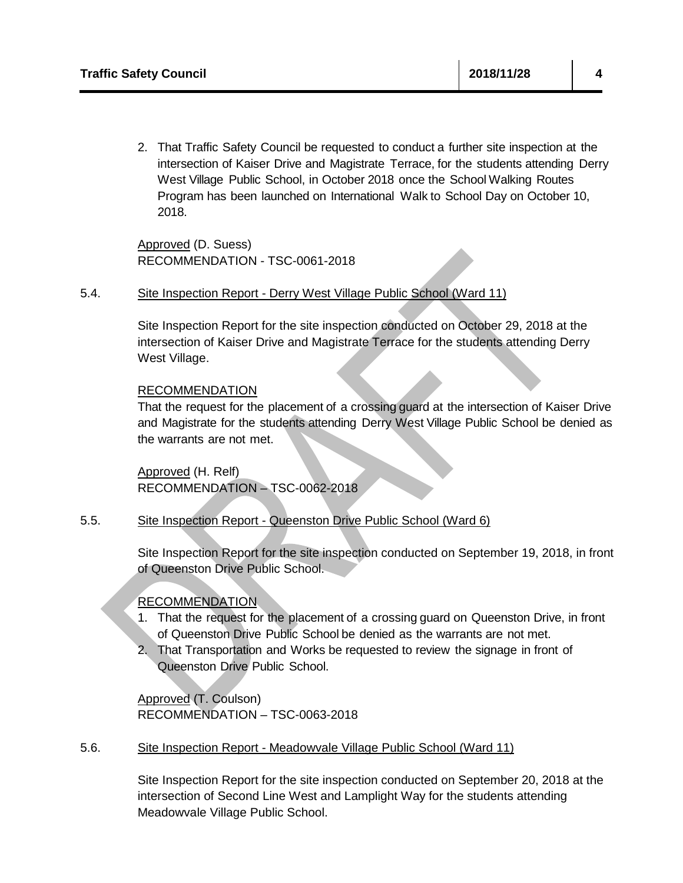2. That Traffic Safety Council be requested to conduct a further site inspection at the intersection of Kaiser Drive and Magistrate Terrace, for the students attending Derry West Village Public School, in October 2018 once the School Walking Routes Program has been launched on International Walk to School Day on October 10, 2018.

Approved (D. Suess) RECOMMENDATION - TSC-0061-2018

5.4. Site Inspection Report - Derry West Village Public School (Ward 11)

Site Inspection Report for the site inspection conducted on October 29, 2018 at the intersection of Kaiser Drive and Magistrate Terrace for the students attending Derry West Village.

## RECOMMENDATION

That the request for the placement of a crossing guard at the intersection of Kaiser Drive and Magistrate for the students attending Derry West Village Public School be denied as the warrants are not met.

Approved (H. Relf) RECOMMENDATION – TSC-0062-2018

## 5.5. Site Inspection Report - Queenston Drive Public School (Ward 6)

Site Inspection Report for the site inspection conducted on September 19, 2018, in front of Queenston Drive Public School.

## RECOMMENDATION

- 1. That the request for the placement of a crossing guard on Queenston Drive, in front of Queenston Drive Public School be denied as the warrants are not met.
- 2. That Transportation and Works be requested to review the signage in front of Queenston Drive Public School.

Approved (T. Coulson) RECOMMENDATION – TSC-0063-2018

5.6. Site Inspection Report - Meadowvale Village Public School (Ward 11)

Site Inspection Report for the site inspection conducted on September 20, 2018 at the intersection of Second Line West and Lamplight Way for the students attending Meadowvale Village Public School.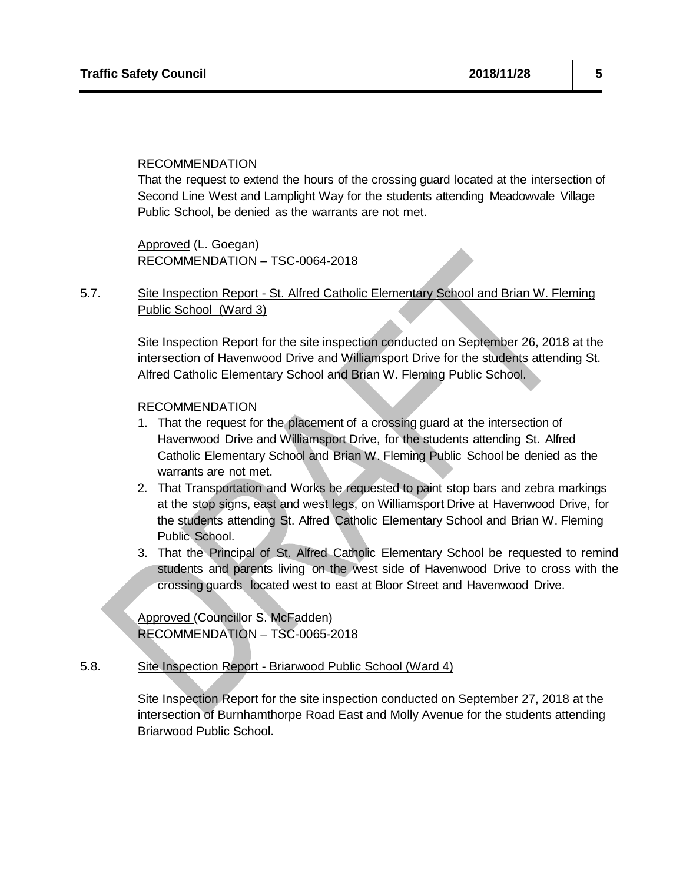That the request to extend the hours of the crossing guard located at the intersection of Second Line West and Lamplight Way for the students attending Meadowvale Village Public School, be denied as the warrants are not met.

Approved (L. Goegan) RECOMMENDATION – TSC-0064-2018

5.7. Site Inspection Report - St. Alfred Catholic Elementary School and Brian W. Fleming Public School (Ward 3)

> Site Inspection Report for the site inspection conducted on September 26, 2018 at the intersection of Havenwood Drive and Williamsport Drive for the students attending St. Alfred Catholic Elementary School and Brian W. Fleming Public School.

## RECOMMENDATION

- 1. That the request for the placement of a crossing guard at the intersection of Havenwood Drive and Williamsport Drive, for the students attending St. Alfred Catholic Elementary School and Brian W. Fleming Public School be denied as the warrants are not met.
- 2. That Transportation and Works be requested to paint stop bars and zebra markings at the stop signs, east and west legs, on Williamsport Drive at Havenwood Drive, for the students attending St. Alfred Catholic Elementary School and Brian W. Fleming Public School.
- 3. That the Principal of St. Alfred Catholic Elementary School be requested to remind students and parents living on the west side of Havenwood Drive to cross with the crossing guards located west to east at Bloor Street and Havenwood Drive.

Approved (Councillor S. McFadden) RECOMMENDATION – TSC-0065-2018

## 5.8. Site Inspection Report - Briarwood Public School (Ward 4)

Site Inspection Report for the site inspection conducted on September 27, 2018 at the intersection of Burnhamthorpe Road East and Molly Avenue for the students attending Briarwood Public School.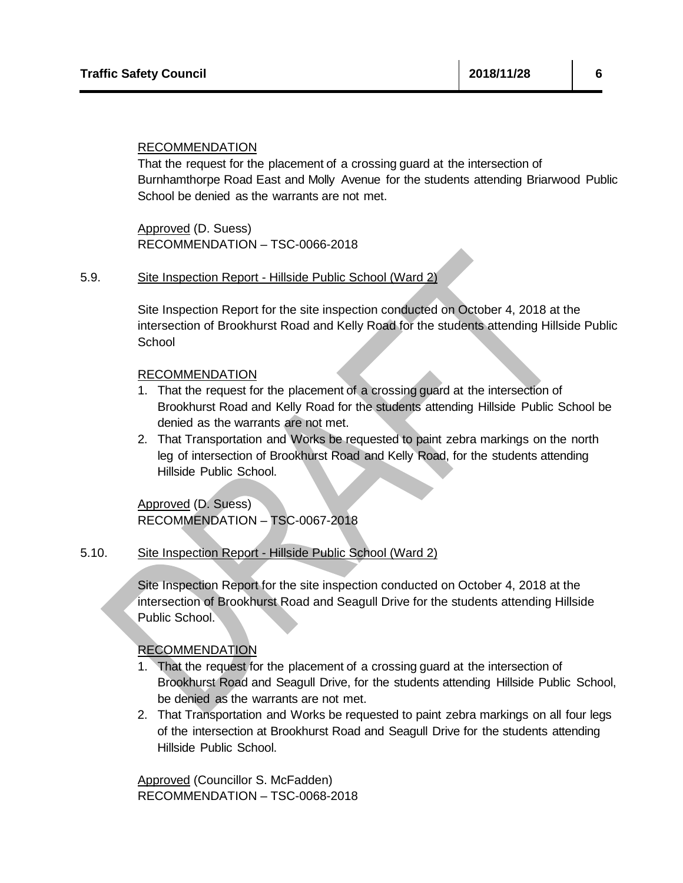That the request for the placement of a crossing guard at the intersection of Burnhamthorpe Road East and Molly Avenue for the students attending Briarwood Public School be denied as the warrants are not met.

Approved (D. Suess) RECOMMENDATION – TSC-0066-2018

## 5.9. Site Inspection Report - Hillside Public School (Ward 2)

Site Inspection Report for the site inspection conducted on October 4, 2018 at the intersection of Brookhurst Road and Kelly Road for the students attending Hillside Public **School** 

### RECOMMENDATION

- 1. That the request for the placement of a crossing guard at the intersection of Brookhurst Road and Kelly Road for the students attending Hillside Public School be denied as the warrants are not met.
- 2. That Transportation and Works be requested to paint zebra markings on the north leg of intersection of Brookhurst Road and Kelly Road, for the students attending Hillside Public School.

Approved (D. Suess) RECOMMENDATION – TSC-0067-2018

## 5.10. Site Inspection Report - Hillside Public School (Ward 2)

Site Inspection Report for the site inspection conducted on October 4, 2018 at the intersection of Brookhurst Road and Seagull Drive for the students attending Hillside Public School.

RECOMMENDATION

- 1. That the request for the placement of a crossing guard at the intersection of Brookhurst Road and Seagull Drive, for the students attending Hillside Public School, be denied as the warrants are not met.
- 2. That Transportation and Works be requested to paint zebra markings on all four legs of the intersection at Brookhurst Road and Seagull Drive for the students attending Hillside Public School.

Approved (Councillor S. McFadden) RECOMMENDATION – TSC-0068-2018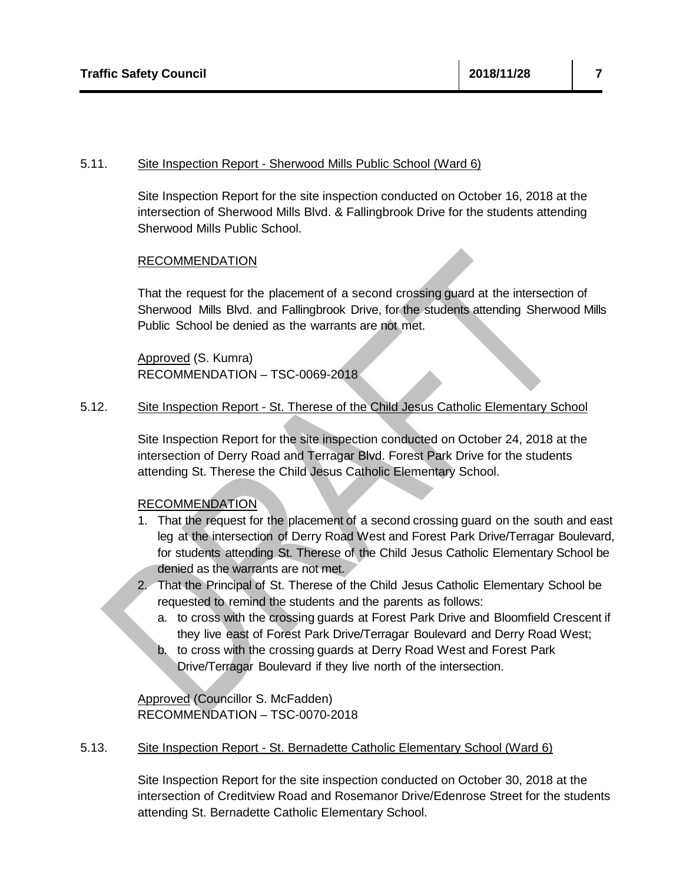## 5.11. Site Inspection Report - Sherwood Mills Public School (Ward 6)

Site Inspection Report for the site inspection conducted on October 16, 2018 at the intersection of Sherwood Mills Blvd. & Fallingbrook Drive for the students attending Sherwood Mills Public School.

## RECOMMENDATION

That the request for the placement of a second crossing guard at the intersection of Sherwood Mills Blvd. and Fallingbrook Drive, for the students attending Sherwood Mills Public School be denied as the warrants are not met.

Approved (S. Kumra) RECOMMENDATION – TSC-0069-2018

## 5.12. Site Inspection Report - St. Therese of the Child Jesus Catholic Elementary School

Site Inspection Report for the site inspection conducted on October 24, 2018 at the intersection of Derry Road and Terragar Blvd. Forest Park Drive for the students attending St. Therese the Child Jesus Catholic Elementary School.

## RECOMMENDATION

- 1. That the request for the placement of a second crossing guard on the south and east leg at the intersection of Derry Road West and Forest Park Drive/Terragar Boulevard, for students attending St. Therese of the Child Jesus Catholic Elementary School be denied as the warrants are not met.
- 2. That the Principal of St. Therese of the Child Jesus Catholic Elementary School be requested to remind the students and the parents as follows:
	- a. to cross with the crossing guards at Forest Park Drive and Bloomfield Crescent if they live east of Forest Park Drive/Terragar Boulevard and Derry Road West;
	- b. to cross with the crossing guards at Derry Road West and Forest Park Drive/Terragar Boulevard if they live north of the intersection.

Approved (Councillor S. McFadden) RECOMMENDATION – TSC-0070-2018

### 5.13. Site Inspection Report - St. Bernadette Catholic Elementary School (Ward 6)

Site Inspection Report for the site inspection conducted on October 30, 2018 at the intersection of Creditview Road and Rosemanor Drive/Edenrose Street for the students attending St. Bernadette Catholic Elementary School.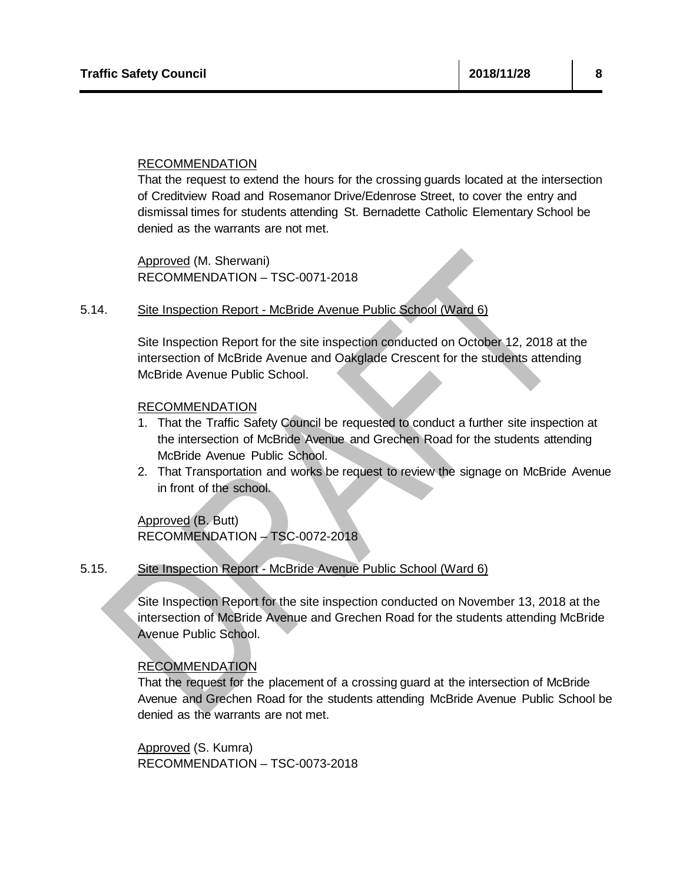That the request to extend the hours for the crossing guards located at the intersection of Creditview Road and Rosemanor Drive/Edenrose Street, to cover the entry and dismissal times for students attending St. Bernadette Catholic Elementary School be denied as the warrants are not met.

Approved (M. Sherwani) RECOMMENDATION – TSC-0071-2018

## 5.14. Site Inspection Report - McBride Avenue Public School (Ward 6)

Site Inspection Report for the site inspection conducted on October 12, 2018 at the intersection of McBride Avenue and Oakglade Crescent for the students attending McBride Avenue Public School.

### RECOMMENDATION

- 1. That the Traffic Safety Council be requested to conduct a further site inspection at the intersection of McBride Avenue and Grechen Road for the students attending McBride Avenue Public School.
- 2. That Transportation and works be request to review the signage on McBride Avenue in front of the school.

Approved (B. Butt) RECOMMENDATION – TSC-0072-2018

## 5.15. Site Inspection Report - McBride Avenue Public School (Ward 6)

Site Inspection Report for the site inspection conducted on November 13, 2018 at the intersection of McBride Avenue and Grechen Road for the students attending McBride Avenue Public School.

## RECOMMENDATION

That the request for the placement of a crossing guard at the intersection of McBride Avenue and Grechen Road for the students attending McBride Avenue Public School be denied as the warrants are not met.

Approved (S. Kumra) RECOMMENDATION – TSC-0073-2018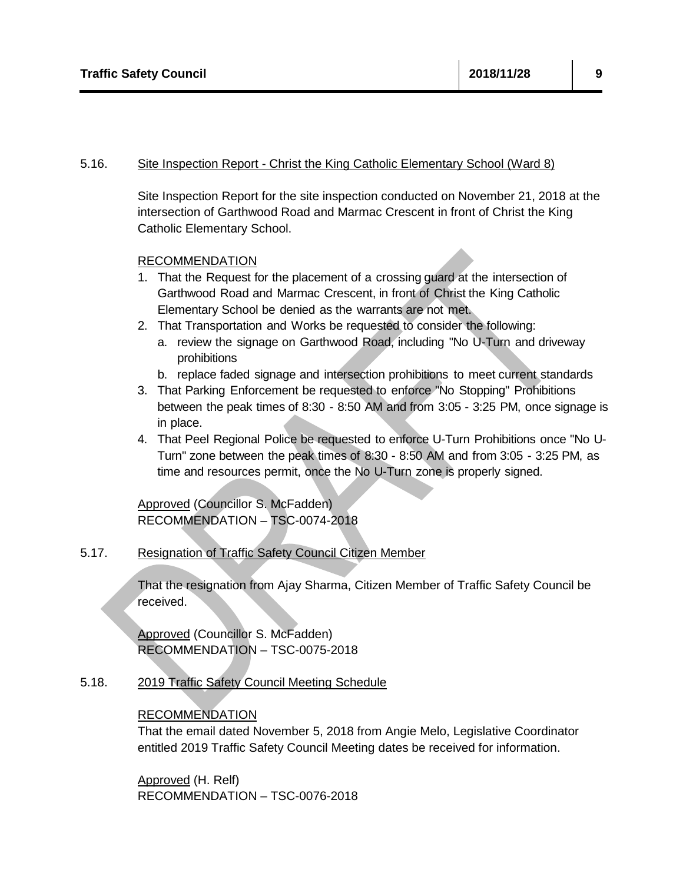## 5.16. Site Inspection Report - Christ the King Catholic Elementary School (Ward 8)

Site Inspection Report for the site inspection conducted on November 21, 2018 at the intersection of Garthwood Road and Marmac Crescent in front of Christ the King Catholic Elementary School.

## RECOMMENDATION

- 1. That the Request for the placement of a crossing guard at the intersection of Garthwood Road and Marmac Crescent, in front of Christ the King Catholic Elementary School be denied as the warrants are not met.
- 2. That Transportation and Works be requested to consider the following:
	- a. review the signage on Garthwood Road, including "No U-Turn and driveway prohibitions
	- b. replace faded signage and intersection prohibitions to meet current standards
- 3. That Parking Enforcement be requested to enforce "No Stopping" Prohibitions between the peak times of 8:30 - 8:50 AM and from 3:05 - 3:25 PM, once signage is in place.
- 4. That Peel Regional Police be requested to enforce U-Turn Prohibitions once "No U-Turn" zone between the peak times of 8:30 - 8:50 AM and from 3:05 - 3:25 PM, as time and resources permit, once the No U-Turn zone is properly signed.

Approved (Councillor S. McFadden) RECOMMENDATION – TSC-0074-2018

## 5.17. Resignation of Traffic Safety Council Citizen Member

That the resignation from Ajay Sharma, Citizen Member of Traffic Safety Council be received.

Approved (Councillor S. McFadden) RECOMMENDATION – TSC-0075-2018

5.18. 2019 Traffic Safety Council Meeting Schedule

## RECOMMENDATION

That the email dated November 5, 2018 from Angie Melo, Legislative Coordinator entitled 2019 Traffic Safety Council Meeting dates be received for information.

Approved (H. Relf) RECOMMENDATION – TSC-0076-2018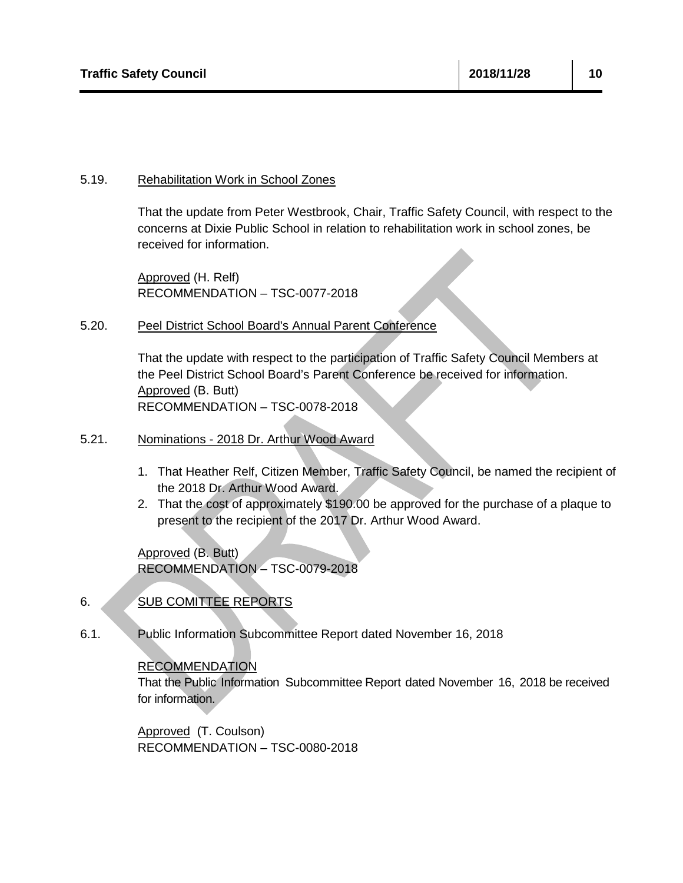## 5.19. Rehabilitation Work in School Zones

That the update from Peter Westbrook, Chair, Traffic Safety Council, with respect to the concerns at Dixie Public School in relation to rehabilitation work in school zones, be received for information.

Approved (H. Relf) RECOMMENDATION – TSC-0077-2018

## 5.20. Peel District School Board's Annual Parent Conference

That the update with respect to the participation of Traffic Safety Council Members at the Peel District School Board's Parent Conference be received for information. Approved (B. Butt) RECOMMENDATION – TSC-0078-2018

## 5.21. Nominations - 2018 Dr. Arthur Wood Award

- 1. That Heather Relf, Citizen Member, Traffic Safety Council, be named the recipient of the 2018 Dr. Arthur Wood Award.
- 2. That the cost of approximately \$190.00 be approved for the purchase of a plaque to present to the recipient of the 2017 Dr. Arthur Wood Award.

Approved (B. Butt) RECOMMENDATION – TSC-0079-2018

# 6. SUB COMITTEE REPORTS

6.1. Public Information Subcommittee Report dated November 16, 2018

## RECOMMENDATION

That the Public Information Subcommittee Report dated November 16, 2018 be received for information.

Approved (T. Coulson) RECOMMENDATION – TSC-0080-2018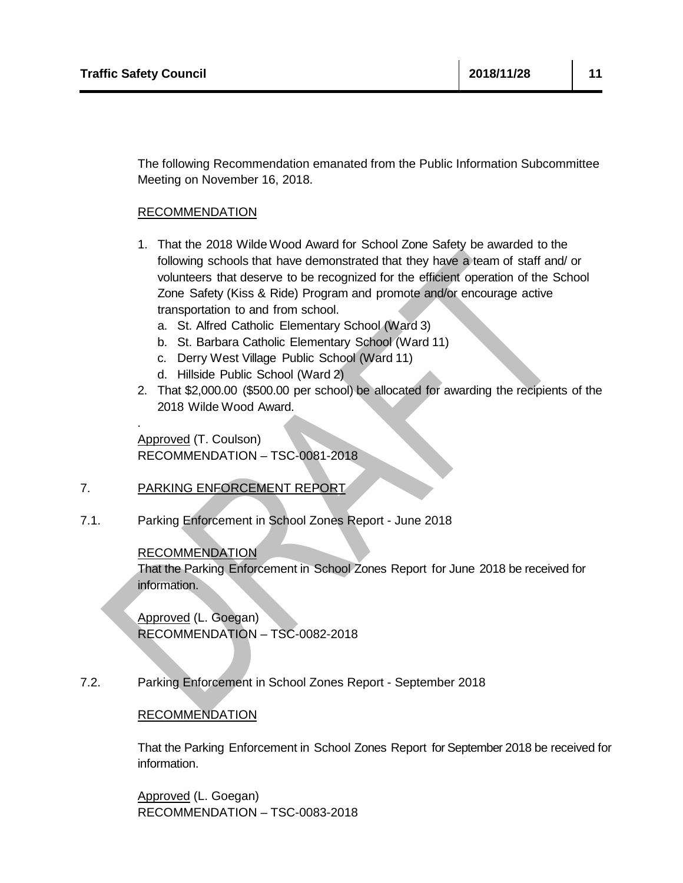.

The following Recommendation emanated from the Public Information Subcommittee Meeting on November 16, 2018.

## RECOMMENDATION

- 1. That the 2018 Wilde Wood Award for School Zone Safety be awarded to the following schools that have demonstrated that they have a team of staff and/ or volunteers that deserve to be recognized for the efficient operation of the School Zone Safety (Kiss & Ride) Program and promote and/or encourage active transportation to and from school.
	- a. St. Alfred Catholic Elementary School (Ward 3)
	- b. St. Barbara Catholic Elementary School (Ward 11)
	- c. Derry West Village Public School (Ward 11)
	- d. Hillside Public School (Ward 2)
- 2. That \$2,000.00 (\$500.00 per school) be allocated for awarding the recipients of the 2018 Wilde Wood Award.

Approved (T. Coulson) RECOMMENDATION – TSC-0081-2018

## 7. PARKING ENFORCEMENT REPORT

7.1. Parking Enforcement in School Zones Report - June 2018

## RECOMMENDATION

That the Parking Enforcement in School Zones Report for June 2018 be received for information.

Approved (L. Goegan) RECOMMENDATION – TSC-0082-2018

7.2. Parking Enforcement in School Zones Report - September 2018

## RECOMMENDATION

That the Parking Enforcement in School Zones Report for September 2018 be received for information.

Approved (L. Goegan) RECOMMENDATION – TSC-0083-2018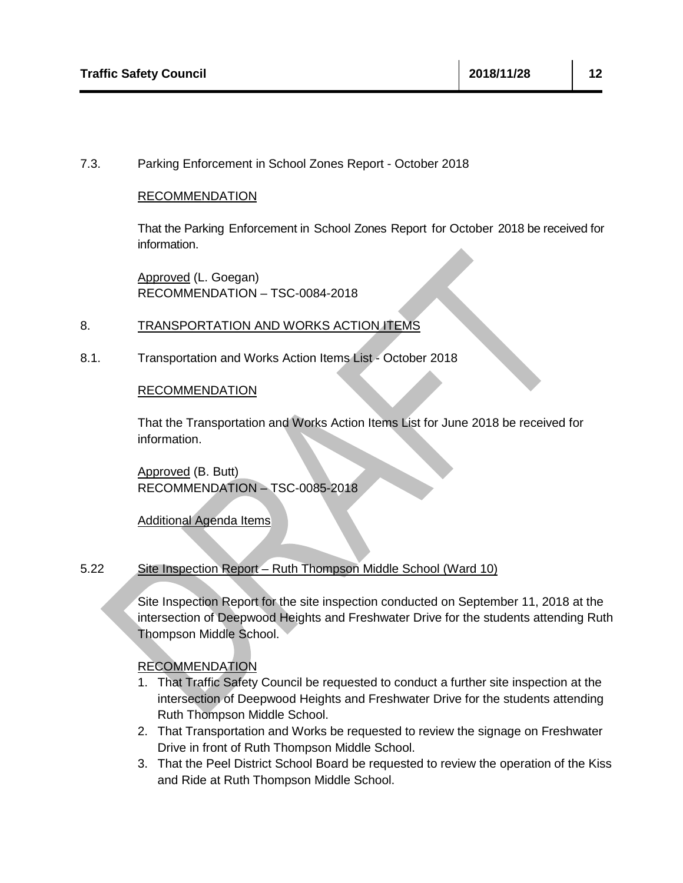## 7.3. Parking Enforcement in School Zones Report - October 2018

## RECOMMENDATION

That the Parking Enforcement in School Zones Report for October 2018 be received for information.

Approved (L. Goegan) RECOMMENDATION – TSC-0084-2018

## 8. TRANSPORTATION AND WORKS ACTION ITEMS

8.1. Transportation and Works Action Items List - October 2018

## RECOMMENDATION

That the Transportation and Works Action Items List for June 2018 be received for information.

Approved (B. Butt) RECOMMENDATION – TSC-0085-2018

## Additional Agenda Items

#### 5.22 Site Inspection Report – Ruth Thompson Middle School (Ward 10)

Site Inspection Report for the site inspection conducted on September 11, 2018 at the intersection of Deepwood Heights and Freshwater Drive for the students attending Ruth Thompson Middle School.

## RECOMMENDATION

- 1. That Traffic Safety Council be requested to conduct a further site inspection at the intersection of Deepwood Heights and Freshwater Drive for the students attending Ruth Thompson Middle School.
- 2. That Transportation and Works be requested to review the signage on Freshwater Drive in front of Ruth Thompson Middle School.
- 3. That the Peel District School Board be requested to review the operation of the Kiss and Ride at Ruth Thompson Middle School.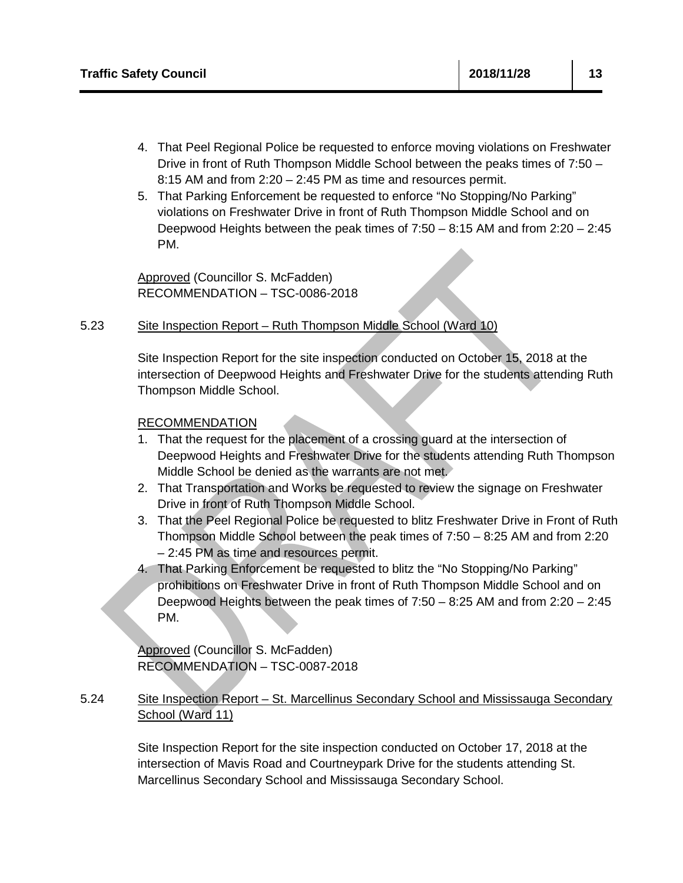- 4. That Peel Regional Police be requested to enforce moving violations on Freshwater Drive in front of Ruth Thompson Middle School between the peaks times of 7:50 – 8:15 AM and from 2:20 – 2:45 PM as time and resources permit.
- 5. That Parking Enforcement be requested to enforce "No Stopping/No Parking" violations on Freshwater Drive in front of Ruth Thompson Middle School and on Deepwood Heights between the peak times of 7:50 – 8:15 AM and from 2:20 – 2:45 PM.

Approved (Councillor S. McFadden) RECOMMENDATION – TSC-0086-2018

#### 5.23 Site Inspection Report – Ruth Thompson Middle School (Ward 10)

Site Inspection Report for the site inspection conducted on October 15, 2018 at the intersection of Deepwood Heights and Freshwater Drive for the students attending Ruth Thompson Middle School.

## RECOMMENDATION

- 1. That the request for the placement of a crossing guard at the intersection of Deepwood Heights and Freshwater Drive for the students attending Ruth Thompson Middle School be denied as the warrants are not met.
- 2. That Transportation and Works be requested to review the signage on Freshwater Drive in front of Ruth Thompson Middle School.
- 3. That the Peel Regional Police be requested to blitz Freshwater Drive in Front of Ruth Thompson Middle School between the peak times of 7:50 – 8:25 AM and from 2:20 – 2:45 PM as time and resources permit.
- 4. That Parking Enforcement be requested to blitz the "No Stopping/No Parking" prohibitions on Freshwater Drive in front of Ruth Thompson Middle School and on Deepwood Heights between the peak times of 7:50 – 8:25 AM and from 2:20 – 2:45 PM.

Approved (Councillor S. McFadden) RECOMMENDATION – TSC-0087-2018

#### 5.24 Site Inspection Report – St. Marcellinus Secondary School and Mississauga Secondary School (Ward 11)

Site Inspection Report for the site inspection conducted on October 17, 2018 at the intersection of Mavis Road and Courtneypark Drive for the students attending St. Marcellinus Secondary School and Mississauga Secondary School.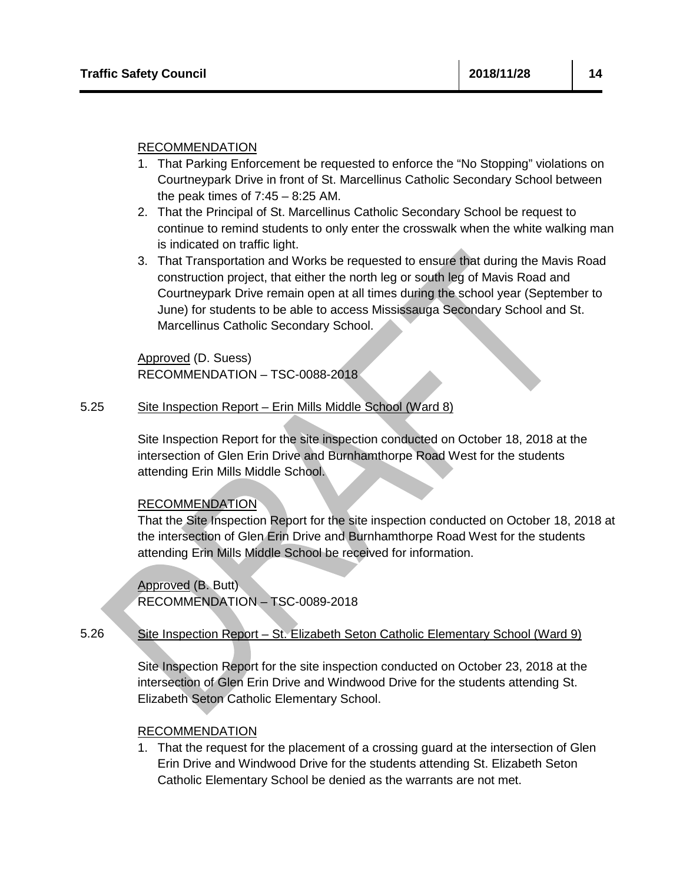- 1. That Parking Enforcement be requested to enforce the "No Stopping" violations on Courtneypark Drive in front of St. Marcellinus Catholic Secondary School between the peak times of  $7:45 - 8:25$  AM.
- 2. That the Principal of St. Marcellinus Catholic Secondary School be request to continue to remind students to only enter the crosswalk when the white walking man is indicated on traffic light.
- 3. That Transportation and Works be requested to ensure that during the Mavis Road construction project, that either the north leg or south leg of Mavis Road and Courtneypark Drive remain open at all times during the school year (September to June) for students to be able to access Mississauga Secondary School and St. Marcellinus Catholic Secondary School.

Approved (D. Suess) RECOMMENDATION – TSC-0088-2018

#### 5.25 Site Inspection Report – Erin Mills Middle School (Ward 8)

Site Inspection Report for the site inspection conducted on October 18, 2018 at the intersection of Glen Erin Drive and Burnhamthorpe Road West for the students attending Erin Mills Middle School.

RECOMMENDATION

That the Site Inspection Report for the site inspection conducted on October 18, 2018 at the intersection of Glen Erin Drive and Burnhamthorpe Road West for the students attending Erin Mills Middle School be received for information.

Approved (B. Butt) RECOMMENDATION – TSC-0089-2018

5.26 Site Inspection Report – St. Elizabeth Seton Catholic Elementary School (Ward 9)

> Site Inspection Report for the site inspection conducted on October 23, 2018 at the intersection of Glen Erin Drive and Windwood Drive for the students attending St. Elizabeth Seton Catholic Elementary School.

## RECOMMENDATION

1. That the request for the placement of a crossing guard at the intersection of Glen Erin Drive and Windwood Drive for the students attending St. Elizabeth Seton Catholic Elementary School be denied as the warrants are not met.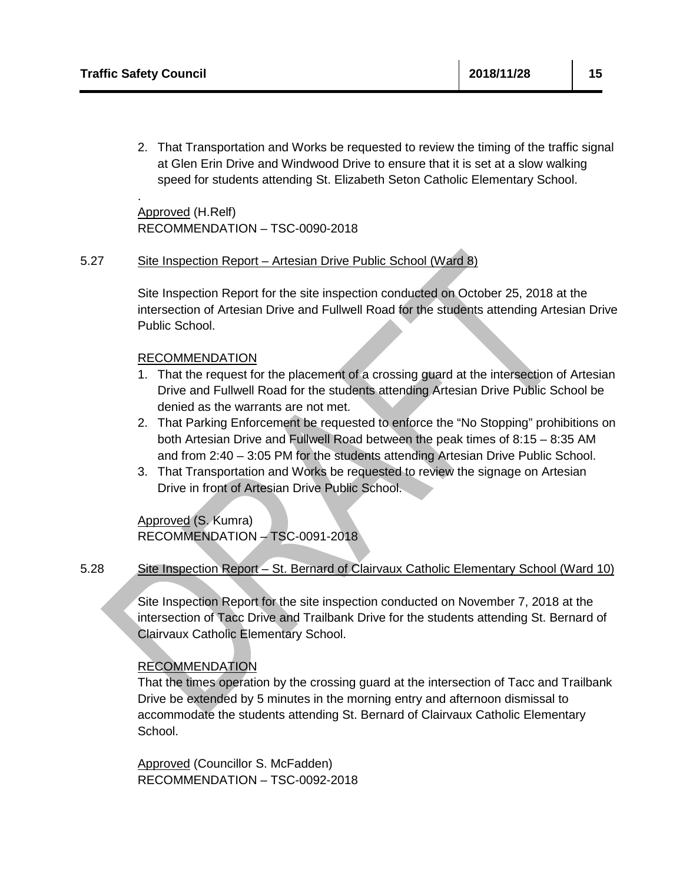.

2. That Transportation and Works be requested to review the timing of the traffic signal at Glen Erin Drive and Windwood Drive to ensure that it is set at a slow walking speed for students attending St. Elizabeth Seton Catholic Elementary School.

Approved (H.Relf) RECOMMENDATION – TSC-0090-2018

#### 5.27 Site Inspection Report – Artesian Drive Public School (Ward 8)

Site Inspection Report for the site inspection conducted on October 25, 2018 at the intersection of Artesian Drive and Fullwell Road for the students attending Artesian Drive Public School.

## RECOMMENDATION

- 1. That the request for the placement of a crossing guard at the intersection of Artesian Drive and Fullwell Road for the students attending Artesian Drive Public School be denied as the warrants are not met.
- 2. That Parking Enforcement be requested to enforce the "No Stopping" prohibitions on both Artesian Drive and Fullwell Road between the peak times of 8:15 – 8:35 AM and from 2:40 – 3:05 PM for the students attending Artesian Drive Public School.
- 3. That Transportation and Works be requested to review the signage on Artesian Drive in front of Artesian Drive Public School.

Approved (S. Kumra) RECOMMENDATION – TSC-0091-2018

#### 5.28 Site Inspection Report – St. Bernard of Clairvaux Catholic Elementary School (Ward 10)

Site Inspection Report for the site inspection conducted on November 7, 2018 at the intersection of Tacc Drive and Trailbank Drive for the students attending St. Bernard of Clairvaux Catholic Elementary School.

## RECOMMENDATION

That the times operation by the crossing guard at the intersection of Tacc and Trailbank Drive be extended by 5 minutes in the morning entry and afternoon dismissal to accommodate the students attending St. Bernard of Clairvaux Catholic Elementary School.

Approved (Councillor S. McFadden) RECOMMENDATION – TSC-0092-2018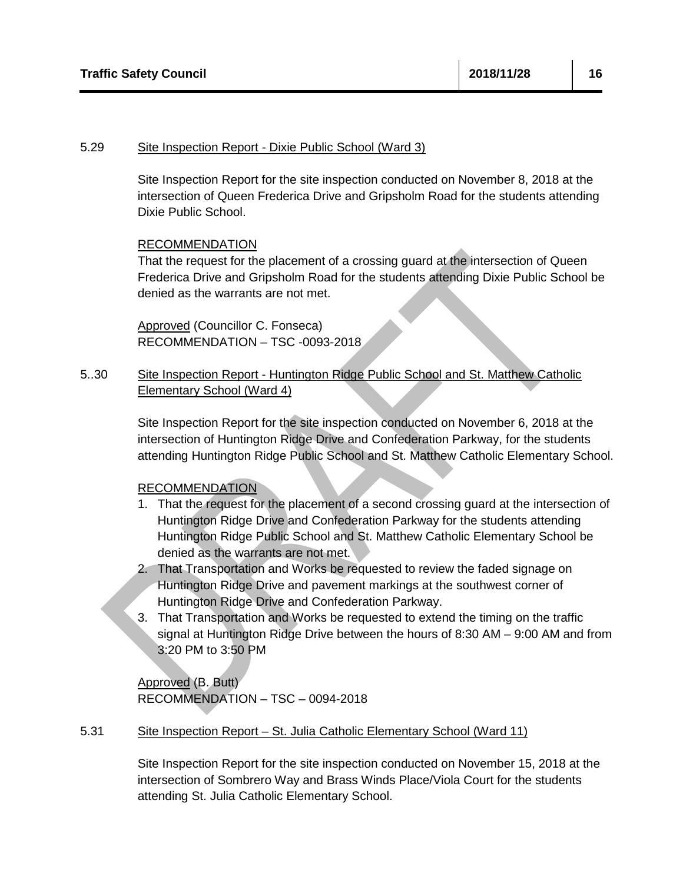#### 5.29 Site Inspection Report - Dixie Public School (Ward 3)

Site Inspection Report for the site inspection conducted on November 8, 2018 at the intersection of Queen Frederica Drive and Gripsholm Road for the students attending Dixie Public School.

## RECOMMENDATION

That the request for the placement of a crossing guard at the intersection of Queen Frederica Drive and Gripsholm Road for the students attending Dixie Public School be denied as the warrants are not met.

Approved (Councillor C. Fonseca) RECOMMENDATION – TSC -0093-2018

#### 5..30 Site Inspection Report - Huntington Ridge Public School and St. Matthew Catholic Elementary School (Ward 4)

Site Inspection Report for the site inspection conducted on November 6, 2018 at the intersection of Huntington Ridge Drive and Confederation Parkway, for the students attending Huntington Ridge Public School and St. Matthew Catholic Elementary School.

### RECOMMENDATION

- 1. That the request for the placement of a second crossing guard at the intersection of Huntington Ridge Drive and Confederation Parkway for the students attending Huntington Ridge Public School and St. Matthew Catholic Elementary School be denied as the warrants are not met.
- 2. That Transportation and Works be requested to review the faded signage on Huntington Ridge Drive and pavement markings at the southwest corner of Huntington Ridge Drive and Confederation Parkway.
- 3. That Transportation and Works be requested to extend the timing on the traffic signal at Huntington Ridge Drive between the hours of 8:30 AM – 9:00 AM and from 3:20 PM to 3:50 PM

Approved (B. Butt) RECOMMENDATION – TSC – 0094-2018

#### 5.31 Site Inspection Report – St. Julia Catholic Elementary School (Ward 11)

Site Inspection Report for the site inspection conducted on November 15, 2018 at the intersection of Sombrero Way and Brass Winds Place/Viola Court for the students attending St. Julia Catholic Elementary School.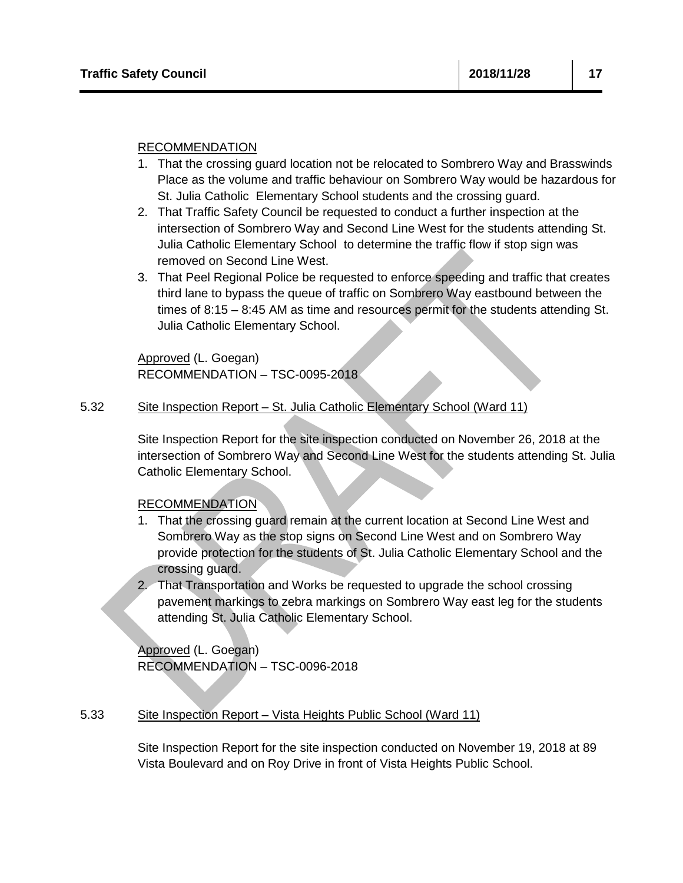- 1. That the crossing guard location not be relocated to Sombrero Way and Brasswinds Place as the volume and traffic behaviour on Sombrero Way would be hazardous for St. Julia Catholic Elementary School students and the crossing guard.
- 2. That Traffic Safety Council be requested to conduct a further inspection at the intersection of Sombrero Way and Second Line West for the students attending St. Julia Catholic Elementary School to determine the traffic flow if stop sign was removed on Second Line West.
- 3. That Peel Regional Police be requested to enforce speeding and traffic that creates third lane to bypass the queue of traffic on Sombrero Way eastbound between the times of 8:15 – 8:45 AM as time and resources permit for the students attending St. Julia Catholic Elementary School.

Approved (L. Goegan) RECOMMENDATION – TSC-0095-2018

#### 5.32 Site Inspection Report – St. Julia Catholic Elementary School (Ward 11)

Site Inspection Report for the site inspection conducted on November 26, 2018 at the intersection of Sombrero Way and Second Line West for the students attending St. Julia Catholic Elementary School.

## RECOMMENDATION

- 1. That the crossing guard remain at the current location at Second Line West and Sombrero Way as the stop signs on Second Line West and on Sombrero Way provide protection for the students of St. Julia Catholic Elementary School and the crossing guard.
- 2. That Transportation and Works be requested to upgrade the school crossing pavement markings to zebra markings on Sombrero Way east leg for the students attending St. Julia Catholic Elementary School.

Approved (L. Goegan) RECOMMENDATION – TSC-0096-2018

#### 5.33 Site Inspection Report – Vista Heights Public School (Ward 11)

Site Inspection Report for the site inspection conducted on November 19, 2018 at 89 Vista Boulevard and on Roy Drive in front of Vista Heights Public School.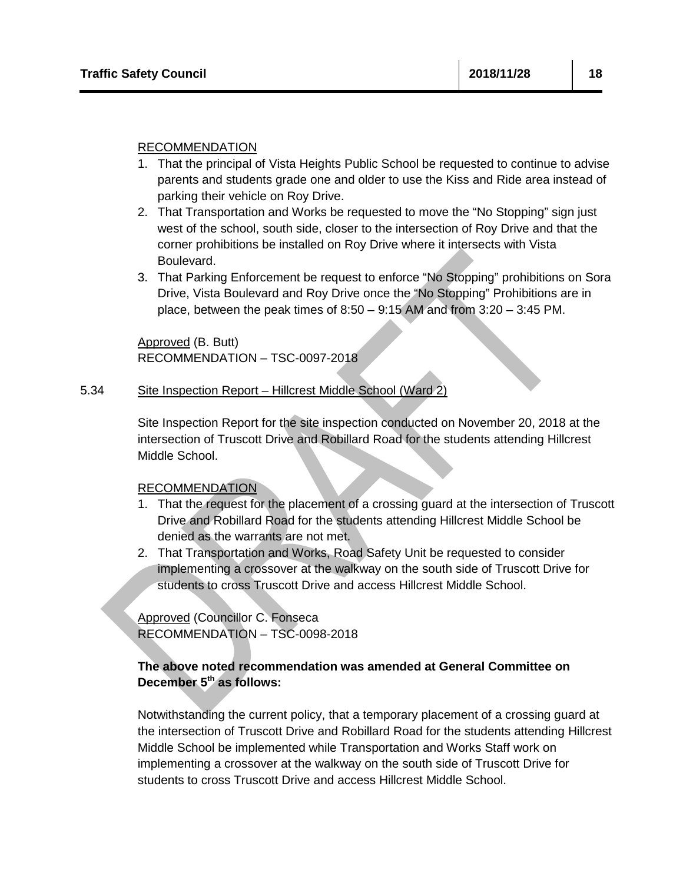- 1. That the principal of Vista Heights Public School be requested to continue to advise parents and students grade one and older to use the Kiss and Ride area instead of parking their vehicle on Roy Drive.
- 2. That Transportation and Works be requested to move the "No Stopping" sign just west of the school, south side, closer to the intersection of Roy Drive and that the corner prohibitions be installed on Roy Drive where it intersects with Vista Boulevard.
- 3. That Parking Enforcement be request to enforce "No Stopping" prohibitions on Sora Drive, Vista Boulevard and Roy Drive once the "No Stopping" Prohibitions are in place, between the peak times of 8:50 – 9:15 AM and from 3:20 – 3:45 PM.

Approved (B. Butt) RECOMMENDATION – TSC-0097-2018

#### 5.34 Site Inspection Report – Hillcrest Middle School (Ward 2)

Site Inspection Report for the site inspection conducted on November 20, 2018 at the intersection of Truscott Drive and Robillard Road for the students attending Hillcrest Middle School.

### RECOMMENDATION

- 1. That the request for the placement of a crossing guard at the intersection of Truscott Drive and Robillard Road for the students attending Hillcrest Middle School be denied as the warrants are not met.
- 2. That Transportation and Works, Road Safety Unit be requested to consider implementing a crossover at the walkway on the south side of Truscott Drive for students to cross Truscott Drive and access Hillcrest Middle School.

Approved (Councillor C. Fonseca RECOMMENDATION – TSC-0098-2018

## **The above noted recommendation was amended at General Committee on December 5th as follows:**

Notwithstanding the current policy, that a temporary placement of a crossing guard at the intersection of Truscott Drive and Robillard Road for the students attending Hillcrest Middle School be implemented while Transportation and Works Staff work on implementing a crossover at the walkway on the south side of Truscott Drive for students to cross Truscott Drive and access Hillcrest Middle School.